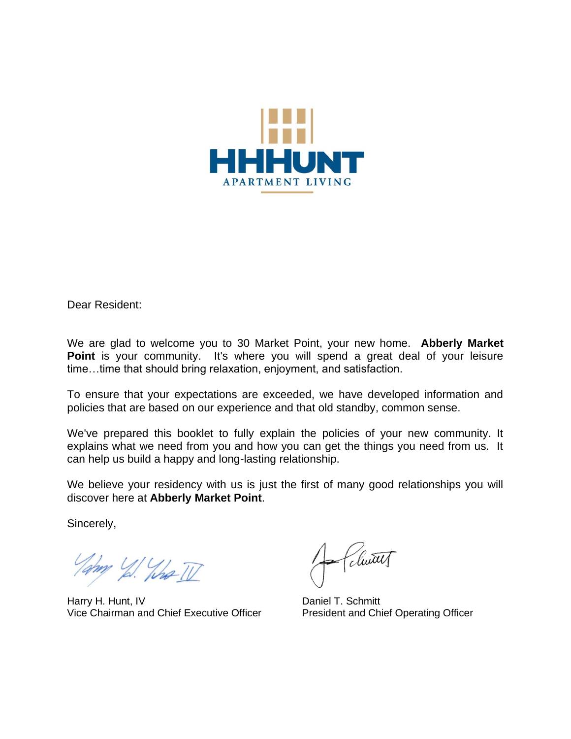

Dear Resident:

We are glad to welcome you to 30 Market Point, your new home. **Abberly Market Point** is your community. It's where you will spend a great deal of your leisure time…time that should bring relaxation, enjoyment, and satisfaction.

To ensure that your expectations are exceeded, we have developed information and policies that are based on our experience and that old standby, common sense.

We've prepared this booklet to fully explain the policies of your new community. It explains what we need from you and how you can get the things you need from us. It can help us build a happy and long-lasting relationship.

We believe your residency with us is just the first of many good relationships you will discover here at **Abberly Market Point**.

Sincerely,

Tampy 1/2 What II

Harry H. Hunt, IV **Daniel T. Schmitt** Vice Chairman and Chief Executive Officer President and Chief Operating Officer

Clutt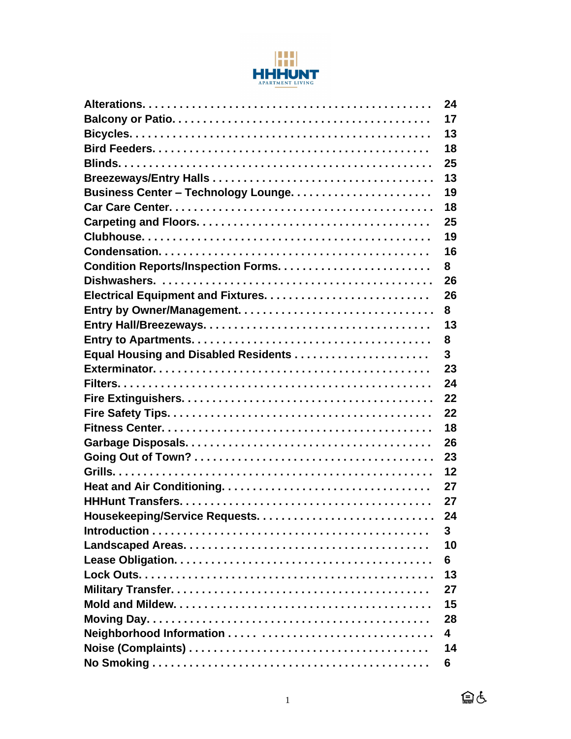

|                                            | 24 |
|--------------------------------------------|----|
|                                            | 17 |
|                                            | 13 |
|                                            | 18 |
|                                            | 25 |
|                                            | 13 |
|                                            | 19 |
|                                            | 18 |
|                                            | 25 |
|                                            | 19 |
|                                            | 16 |
|                                            | 8  |
|                                            | 26 |
|                                            | 26 |
|                                            | 8  |
|                                            | 13 |
|                                            | 8  |
|                                            | 3  |
|                                            | 23 |
|                                            | 24 |
|                                            | 22 |
|                                            | 22 |
|                                            | 18 |
|                                            | 26 |
|                                            | 23 |
|                                            | 12 |
|                                            | 27 |
|                                            | 27 |
| <b>Housekeeping/Service Requests.</b><br>. | 24 |
|                                            | 3  |
|                                            | 10 |
|                                            | 6  |
|                                            | 13 |
|                                            | 27 |
|                                            | 15 |
|                                            | 28 |
|                                            | 4  |
|                                            | 14 |
|                                            | 6  |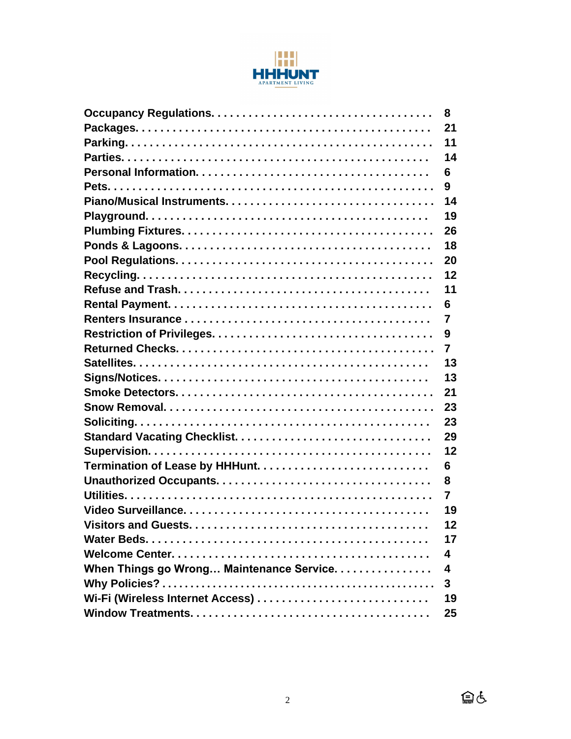

|                                           | 8  |
|-------------------------------------------|----|
|                                           | 21 |
|                                           | 11 |
|                                           | 14 |
|                                           | 6  |
|                                           | 9  |
|                                           | 14 |
|                                           | 19 |
|                                           | 26 |
|                                           | 18 |
|                                           | 20 |
|                                           | 12 |
|                                           | 11 |
|                                           | 6  |
|                                           | 7  |
|                                           | 9  |
|                                           | 7  |
|                                           | 13 |
|                                           | 13 |
|                                           | 21 |
|                                           | 23 |
|                                           | 23 |
|                                           | 29 |
|                                           | 12 |
|                                           | 6  |
|                                           | 8  |
|                                           | 7  |
|                                           | 19 |
|                                           | 12 |
|                                           | 17 |
|                                           | 4  |
| When Things go Wrong Maintenance Service. | 4  |
|                                           | 3  |
|                                           | 19 |
|                                           | 25 |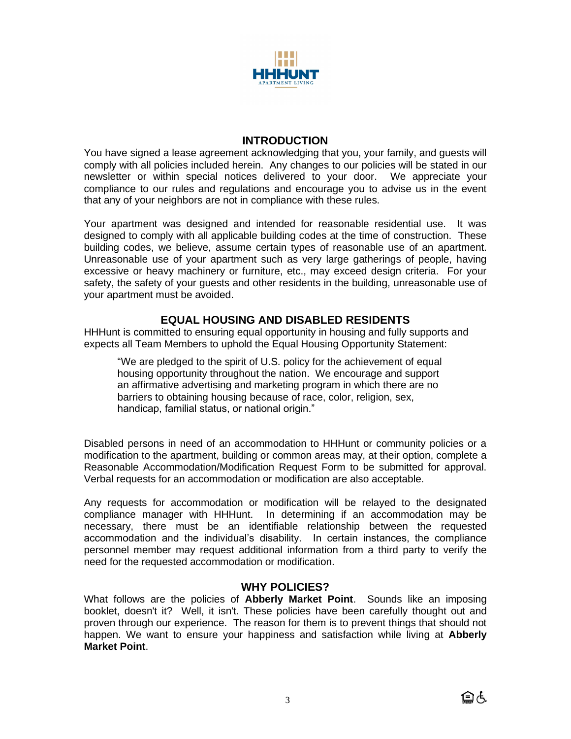

## **INTRODUCTION**

You have signed a lease agreement acknowledging that you, your family, and guests will comply with all policies included herein. Any changes to our policies will be stated in our newsletter or within special notices delivered to your door. We appreciate your compliance to our rules and regulations and encourage you to advise us in the event that any of your neighbors are not in compliance with these rules.

Your apartment was designed and intended for reasonable residential use. It was designed to comply with all applicable building codes at the time of construction. These building codes, we believe, assume certain types of reasonable use of an apartment. Unreasonable use of your apartment such as very large gatherings of people, having excessive or heavy machinery or furniture, etc., may exceed design criteria. For your safety, the safety of your guests and other residents in the building, unreasonable use of your apartment must be avoided.

## **EQUAL HOUSING AND DISABLED RESIDENTS**

HHHunt is committed to ensuring equal opportunity in housing and fully supports and expects all Team Members to uphold the Equal Housing Opportunity Statement:

"We are pledged to the spirit of U.S. policy for the achievement of equal housing opportunity throughout the nation. We encourage and support an affirmative advertising and marketing program in which there are no barriers to obtaining housing because of race, color, religion, sex, handicap, familial status, or national origin."

Disabled persons in need of an accommodation to HHHunt or community policies or a modification to the apartment, building or common areas may, at their option, complete a Reasonable Accommodation/Modification Request Form to be submitted for approval. Verbal requests for an accommodation or modification are also acceptable.

Any requests for accommodation or modification will be relayed to the designated compliance manager with HHHunt. In determining if an accommodation may be necessary, there must be an identifiable relationship between the requested accommodation and the individual's disability. In certain instances, the compliance personnel member may request additional information from a third party to verify the need for the requested accommodation or modification.

## **WHY POLICIES?**

What follows are the policies of **Abberly Market Point**. Sounds like an imposing booklet, doesn't it? Well, it isn't. These policies have been carefully thought out and proven through our experience. The reason for them is to prevent things that should not happen. We want to ensure your happiness and satisfaction while living at **Abberly Market Point**.

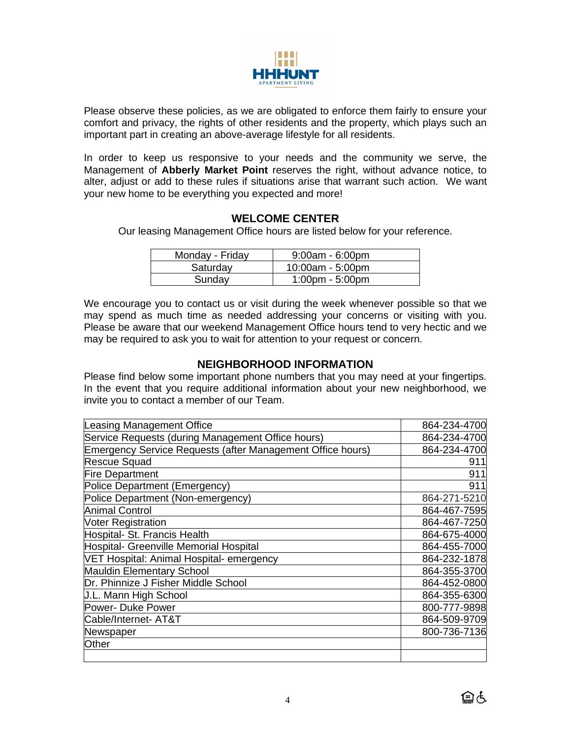

Please observe these policies, as we are obligated to enforce them fairly to ensure your comfort and privacy, the rights of other residents and the property, which plays such an important part in creating an above-average lifestyle for all residents.

In order to keep us responsive to your needs and the community we serve, the Management of **Abberly Market Point** reserves the right, without advance notice, to alter, adjust or add to these rules if situations arise that warrant such action. We want your new home to be everything you expected and more!

## **WELCOME CENTER**

Our leasing Management Office hours are listed below for your reference.

| Monday - Friday | $9:00am - 6:00pm$                 |
|-----------------|-----------------------------------|
| Saturday        | $10:00am - 5:00pm$                |
| Sunday          | $1:00 \text{pm} - 5:00 \text{pm}$ |

We encourage you to contact us or visit during the week whenever possible so that we may spend as much time as needed addressing your concerns or visiting with you. Please be aware that our weekend Management Office hours tend to very hectic and we may be required to ask you to wait for attention to your request or concern.

## **NEIGHBORHOOD INFORMATION**

Please find below some important phone numbers that you may need at your fingertips. In the event that you require additional information about your new neighborhood, we invite you to contact a member of our Team.

| Leasing Management Office                                  | 864-234-4700 |
|------------------------------------------------------------|--------------|
| Service Requests (during Management Office hours)          | 864-234-4700 |
| Emergency Service Requests (after Management Office hours) | 864-234-4700 |
| <b>Rescue Squad</b>                                        | 911          |
| <b>Fire Department</b>                                     | 911          |
| Police Department (Emergency)                              | 911          |
| Police Department (Non-emergency)                          | 864-271-5210 |
| <b>Animal Control</b>                                      | 864-467-7595 |
| <b>Voter Registration</b>                                  | 864-467-7250 |
| Hospital- St. Francis Health                               | 864-675-4000 |
| Hospital- Greenville Memorial Hospital                     | 864-455-7000 |
| VET Hospital: Animal Hospital- emergency                   | 864-232-1878 |
| <b>Mauldin Elementary School</b>                           | 864-355-3700 |
| Dr. Phinnize J Fisher Middle School                        | 864-452-0800 |
| <b>J.L. Mann High School</b>                               | 864-355-6300 |
| Power- Duke Power                                          | 800-777-9898 |
| Cable/Internet- AT&T                                       | 864-509-9709 |
| Newspaper                                                  | 800-736-7136 |
| Other                                                      |              |
|                                                            |              |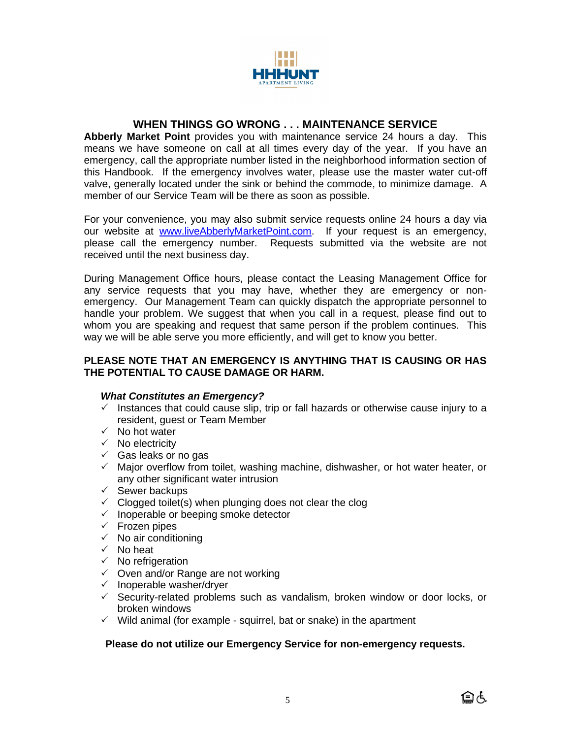

# **WHEN THINGS GO WRONG . . . MAINTENANCE SERVICE**

**Abberly Market Point** provides you with maintenance service 24 hours a day. This means we have someone on call at all times every day of the year. If you have an emergency, call the appropriate number listed in the neighborhood information section of this Handbook. If the emergency involves water, please use the master water cut-off valve, generally located under the sink or behind the commode, to minimize damage. A member of our Service Team will be there as soon as possible.

For your convenience, you may also submit service requests online 24 hours a day via our website at [www.liveAbberlyMarketPoint.com.](http://www.liveabberlymarketpoint.com/) If your request is an emergency, please call the emergency number. Requests submitted via the website are not received until the next business day.

During Management Office hours, please contact the Leasing Management Office for any service requests that you may have, whether they are emergency or nonemergency. Our Management Team can quickly dispatch the appropriate personnel to handle your problem. We suggest that when you call in a request, please find out to whom you are speaking and request that same person if the problem continues. This way we will be able serve you more efficiently, and will get to know you better.

#### **PLEASE NOTE THAT AN EMERGENCY IS ANYTHING THAT IS CAUSING OR HAS THE POTENTIAL TO CAUSE DAMAGE OR HARM.**

## *What Constitutes an Emergency?*

- $\checkmark$  Instances that could cause slip, trip or fall hazards or otherwise cause injury to a resident, guest or Team Member
- $\checkmark$  No hot water
- $\checkmark$  No electricity
- $\checkmark$  Gas leaks or no gas
- $\checkmark$  Major overflow from toilet, washing machine, dishwasher, or hot water heater, or any other significant water intrusion
- $\checkmark$  Sewer backups
- $\checkmark$  Clogged toilet(s) when plunging does not clear the clog
- $\checkmark$  Inoperable or beeping smoke detector
- $\checkmark$  Frozen pipes
- $\checkmark$  No air conditioning
- $\checkmark$  No heat
- $\checkmark$  No refrigeration
- $\checkmark$  Oven and/or Range are not working
- $\checkmark$  Inoperable washer/dryer
- $\checkmark$  Security-related problems such as vandalism, broken window or door locks, or broken windows
- $\checkmark$  Wild animal (for example squirrel, bat or snake) in the apartment

#### **Please do not utilize our Emergency Service for non-emergency requests.**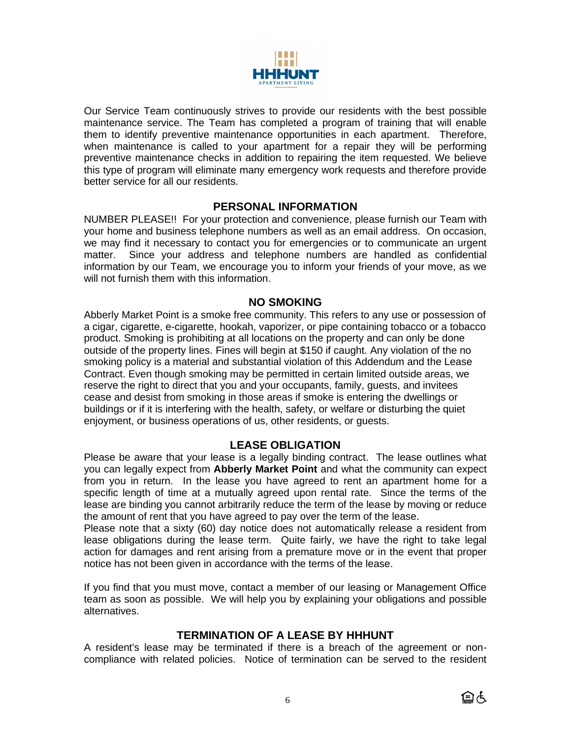

Our Service Team continuously strives to provide our residents with the best possible maintenance service. The Team has completed a program of training that will enable them to identify preventive maintenance opportunities in each apartment. Therefore, when maintenance is called to your apartment for a repair they will be performing preventive maintenance checks in addition to repairing the item requested. We believe this type of program will eliminate many emergency work requests and therefore provide better service for all our residents.

## **PERSONAL INFORMATION**

NUMBER PLEASE!! For your protection and convenience, please furnish our Team with your home and business telephone numbers as well as an email address. On occasion, we may find it necessary to contact you for emergencies or to communicate an urgent matter. Since your address and telephone numbers are handled as confidential information by our Team, we encourage you to inform your friends of your move, as we will not furnish them with this information.

## **NO SMOKING**

Abberly Market Point is a smoke free community. This refers to any use or possession of a cigar, cigarette, e-cigarette, hookah, vaporizer, or pipe containing tobacco or a tobacco product. Smoking is prohibiting at all locations on the property and can only be done outside of the property lines. Fines will begin at \$150 if caught. Any violation of the no smoking policy is a material and substantial violation of this Addendum and the Lease Contract. Even though smoking may be permitted in certain limited outside areas, we reserve the right to direct that you and your occupants, family, guests, and invitees cease and desist from smoking in those areas if smoke is entering the dwellings or buildings or if it is interfering with the health, safety, or welfare or disturbing the quiet enjoyment, or business operations of us, other residents, or guests.

# **LEASE OBLIGATION**

Please be aware that your lease is a legally binding contract. The lease outlines what you can legally expect from **Abberly Market Point** and what the community can expect from you in return. In the lease you have agreed to rent an apartment home for a specific length of time at a mutually agreed upon rental rate. Since the terms of the lease are binding you cannot arbitrarily reduce the term of the lease by moving or reduce the amount of rent that you have agreed to pay over the term of the lease.

Please note that a sixty (60) day notice does not automatically release a resident from lease obligations during the lease term. Quite fairly, we have the right to take legal action for damages and rent arising from a premature move or in the event that proper notice has not been given in accordance with the terms of the lease.

If you find that you must move, contact a member of our leasing or Management Office team as soon as possible. We will help you by explaining your obligations and possible alternatives.

# **TERMINATION OF A LEASE BY HHHUNT**

A resident's lease may be terminated if there is a breach of the agreement or noncompliance with related policies. Notice of termination can be served to the resident

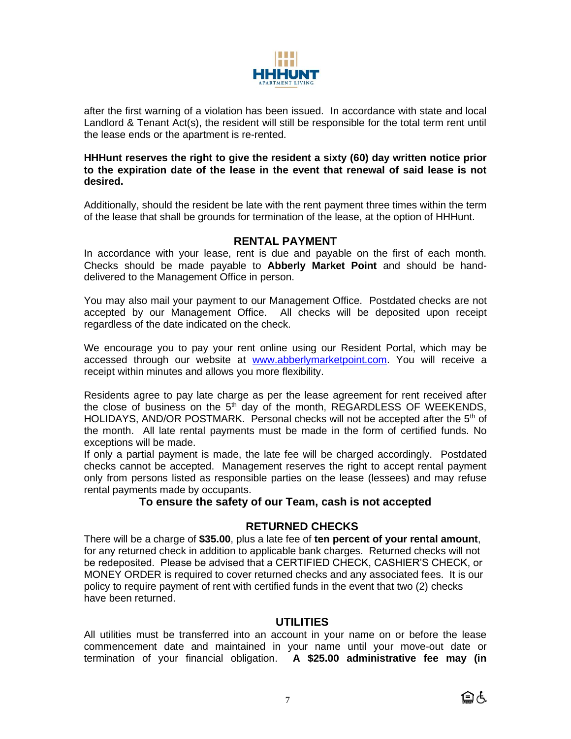

after the first warning of a violation has been issued. In accordance with state and local Landlord & Tenant Act(s), the resident will still be responsible for the total term rent until the lease ends or the apartment is re-rented.

#### **HHHunt reserves the right to give the resident a sixty (60) day written notice prior to the expiration date of the lease in the event that renewal of said lease is not desired.**

Additionally, should the resident be late with the rent payment three times within the term of the lease that shall be grounds for termination of the lease, at the option of HHHunt.

## **RENTAL PAYMENT**

In accordance with your lease, rent is due and payable on the first of each month. Checks should be made payable to **Abberly Market Point** and should be handdelivered to the Management Office in person.

You may also mail your payment to our Management Office. Postdated checks are not accepted by our Management Office. All checks will be deposited upon receipt regardless of the date indicated on the check.

We encourage you to pay your rent online using our Resident Portal, which may be accessed through our website at [www.abberlymarketpoint.com.](http://www.abberlymarketpoint.com/) You will receive a receipt within minutes and allows you more flexibility.

Residents agree to pay late charge as per the lease agreement for rent received after the close of business on the  $5<sup>th</sup>$  day of the month, REGARDLESS OF WEEKENDS, HOLIDAYS, AND/OR POSTMARK. Personal checks will not be accepted after the 5<sup>th</sup> of the month. All late rental payments must be made in the form of certified funds. No exceptions will be made.

If only a partial payment is made, the late fee will be charged accordingly. Postdated checks cannot be accepted. Management reserves the right to accept rental payment only from persons listed as responsible parties on the lease (lessees) and may refuse rental payments made by occupants.

## **To ensure the safety of our Team, cash is not accepted**

# **RETURNED CHECKS**

There will be a charge of **\$35.00**, plus a late fee of **ten percent of your rental amount**, for any returned check in addition to applicable bank charges. Returned checks will not be redeposited. Please be advised that a CERTIFIED CHECK, CASHIER'S CHECK, or MONEY ORDER is required to cover returned checks and any associated fees. It is our policy to require payment of rent with certified funds in the event that two (2) checks have been returned.

# **UTILITIES**

All utilities must be transferred into an account in your name on or before the lease commencement date and maintained in your name until your move-out date or termination of your financial obligation. **A \$25.00 administrative fee may (in** 

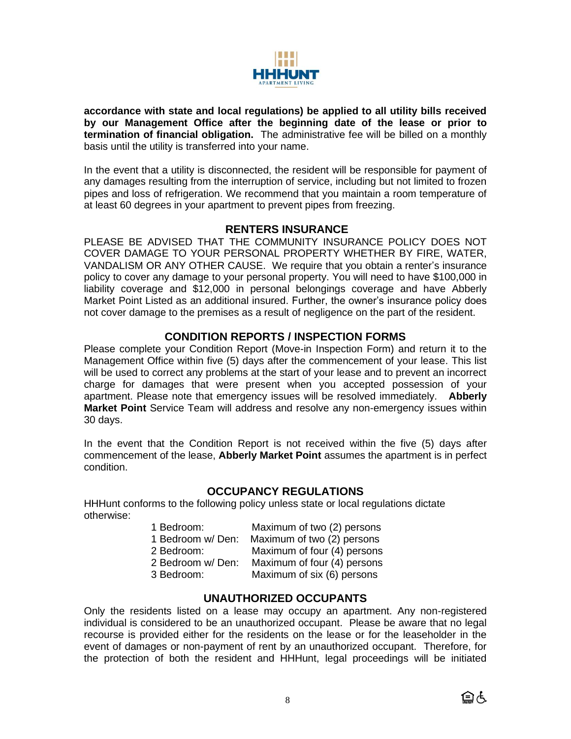

**accordance with state and local regulations) be applied to all utility bills received by our Management Office after the beginning date of the lease or prior to termination of financial obligation.** The administrative fee will be billed on a monthly basis until the utility is transferred into your name.

In the event that a utility is disconnected, the resident will be responsible for payment of any damages resulting from the interruption of service, including but not limited to frozen pipes and loss of refrigeration. We recommend that you maintain a room temperature of at least 60 degrees in your apartment to prevent pipes from freezing.

## **RENTERS INSURANCE**

PLEASE BE ADVISED THAT THE COMMUNITY INSURANCE POLICY DOES NOT COVER DAMAGE TO YOUR PERSONAL PROPERTY WHETHER BY FIRE, WATER, VANDALISM OR ANY OTHER CAUSE. We require that you obtain a renter's insurance policy to cover any damage to your personal property. You will need to have \$100,000 in liability coverage and \$12,000 in personal belongings coverage and have Abberly Market Point Listed as an additional insured. Further, the owner's insurance policy does not cover damage to the premises as a result of negligence on the part of the resident.

## **CONDITION REPORTS / INSPECTION FORMS**

Please complete your Condition Report (Move-in Inspection Form) and return it to the Management Office within five (5) days after the commencement of your lease. This list will be used to correct any problems at the start of your lease and to prevent an incorrect charge for damages that were present when you accepted possession of your apartment. Please note that emergency issues will be resolved immediately. **Abberly Market Point** Service Team will address and resolve any non-emergency issues within 30 days.

In the event that the Condition Report is not received within the five (5) days after commencement of the lease, **Abberly Market Point** assumes the apartment is in perfect condition.

## **OCCUPANCY REGULATIONS**

HHHunt conforms to the following policy unless state or local regulations dictate otherwise:

| 1 Bedroom:        | Maximum of two (2) persons  |
|-------------------|-----------------------------|
| 1 Bedroom w/ Den: | Maximum of two (2) persons  |
| 2 Bedroom:        | Maximum of four (4) persons |
| 2 Bedroom w/Den:  | Maximum of four (4) persons |
| 3 Bedroom:        | Maximum of six (6) persons  |

## **UNAUTHORIZED OCCUPANTS**

Only the residents listed on a lease may occupy an apartment. Any non-registered individual is considered to be an unauthorized occupant. Please be aware that no legal recourse is provided either for the residents on the lease or for the leaseholder in the event of damages or non-payment of rent by an unauthorized occupant. Therefore, for the protection of both the resident and HHHunt, legal proceedings will be initiated

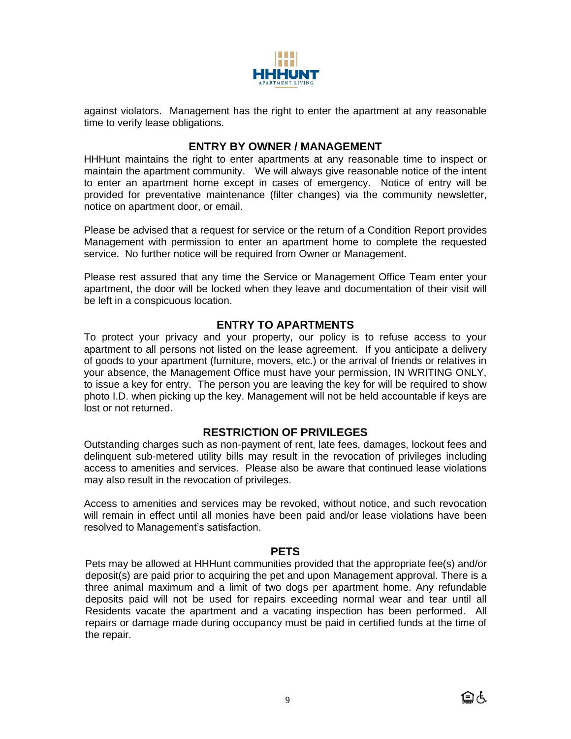

against violators. Management has the right to enter the apartment at any reasonable time to verify lease obligations.

# **ENTRY BY OWNER / MANAGEMENT**

HHHunt maintains the right to enter apartments at any reasonable time to inspect or maintain the apartment community. We will always give reasonable notice of the intent to enter an apartment home except in cases of emergency. Notice of entry will be provided for preventative maintenance (filter changes) via the community newsletter, notice on apartment door, or email.

Please be advised that a request for service or the return of a Condition Report provides Management with permission to enter an apartment home to complete the requested service. No further notice will be required from Owner or Management.

Please rest assured that any time the Service or Management Office Team enter your apartment, the door will be locked when they leave and documentation of their visit will be left in a conspicuous location.

# **ENTRY TO APARTMENTS**

To protect your privacy and your property, our policy is to refuse access to your apartment to all persons not listed on the lease agreement. If you anticipate a delivery of goods to your apartment (furniture, movers, etc.) or the arrival of friends or relatives in your absence, the Management Office must have your permission, IN WRITING ONLY, to issue a key for entry. The person you are leaving the key for will be required to show photo I.D. when picking up the key. Management will not be held accountable if keys are lost or not returned.

# **RESTRICTION OF PRIVILEGES**

Outstanding charges such as non-payment of rent, late fees, damages, lockout fees and delinquent sub-metered utility bills may result in the revocation of privileges including access to amenities and services. Please also be aware that continued lease violations may also result in the revocation of privileges.

Access to amenities and services may be revoked, without notice, and such revocation will remain in effect until all monies have been paid and/or lease violations have been resolved to Management's satisfaction.

## **PETS**

Pets may be allowed at HHHunt communities provided that the appropriate fee(s) and/or deposit(s) are paid prior to acquiring the pet and upon Management approval. There is a three animal maximum and a limit of two dogs per apartment home. Any refundable deposits paid will not be used for repairs exceeding normal wear and tear until all Residents vacate the apartment and a vacating inspection has been performed. All repairs or damage made during occupancy must be paid in certified funds at the time of the repair.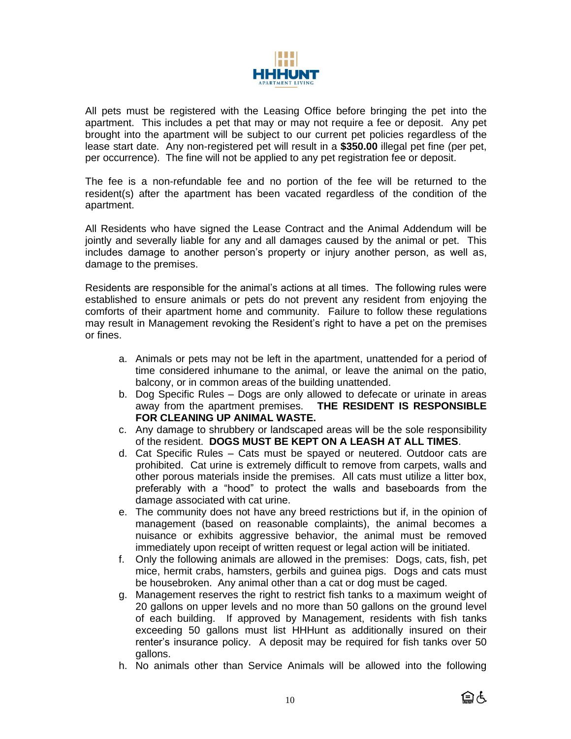

All pets must be registered with the Leasing Office before bringing the pet into the apartment. This includes a pet that may or may not require a fee or deposit. Any pet brought into the apartment will be subject to our current pet policies regardless of the lease start date. Any non-registered pet will result in a **\$350.00** illegal pet fine (per pet, per occurrence). The fine will not be applied to any pet registration fee or deposit.

The fee is a non-refundable fee and no portion of the fee will be returned to the resident(s) after the apartment has been vacated regardless of the condition of the apartment.

All Residents who have signed the Lease Contract and the Animal Addendum will be jointly and severally liable for any and all damages caused by the animal or pet. This includes damage to another person's property or injury another person, as well as, damage to the premises.

Residents are responsible for the animal's actions at all times. The following rules were established to ensure animals or pets do not prevent any resident from enjoying the comforts of their apartment home and community. Failure to follow these regulations may result in Management revoking the Resident's right to have a pet on the premises or fines.

- a. Animals or pets may not be left in the apartment, unattended for a period of time considered inhumane to the animal, or leave the animal on the patio, balcony, or in common areas of the building unattended.
- b. Dog Specific Rules Dogs are only allowed to defecate or urinate in areas away from the apartment premises. **THE RESIDENT IS RESPONSIBLE FOR CLEANING UP ANIMAL WASTE.**
- c. Any damage to shrubbery or landscaped areas will be the sole responsibility of the resident. **DOGS MUST BE KEPT ON A LEASH AT ALL TIMES**.
- d. Cat Specific Rules Cats must be spayed or neutered. Outdoor cats are prohibited. Cat urine is extremely difficult to remove from carpets, walls and other porous materials inside the premises. All cats must utilize a litter box, preferably with a "hood" to protect the walls and baseboards from the damage associated with cat urine.
- e. The community does not have any breed restrictions but if, in the opinion of management (based on reasonable complaints), the animal becomes a nuisance or exhibits aggressive behavior, the animal must be removed immediately upon receipt of written request or legal action will be initiated.
- f. Only the following animals are allowed in the premises: Dogs, cats, fish, pet mice, hermit crabs, hamsters, gerbils and guinea pigs. Dogs and cats must be housebroken. Any animal other than a cat or dog must be caged.
- g. Management reserves the right to restrict fish tanks to a maximum weight of 20 gallons on upper levels and no more than 50 gallons on the ground level of each building. If approved by Management, residents with fish tanks exceeding 50 gallons must list HHHunt as additionally insured on their renter's insurance policy. A deposit may be required for fish tanks over 50 gallons.
- h. No animals other than Service Animals will be allowed into the following

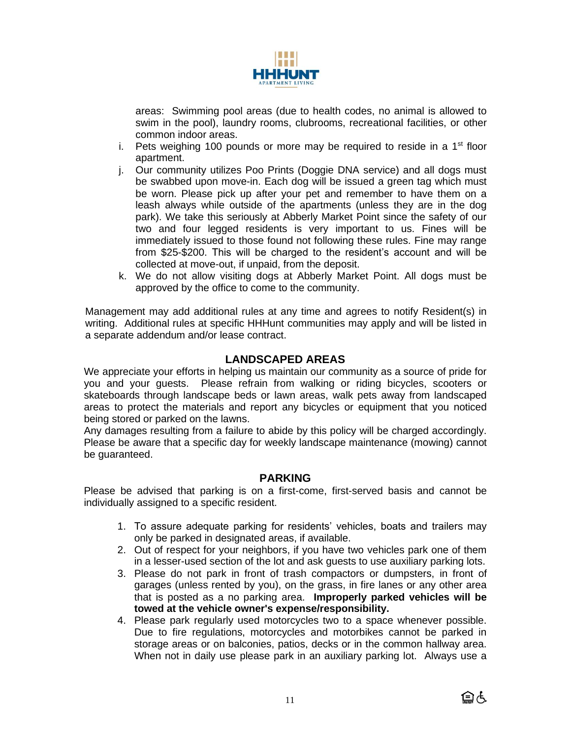

areas: Swimming pool areas (due to health codes, no animal is allowed to swim in the pool), laundry rooms, clubrooms, recreational facilities, or other common indoor areas.

- i. Pets weighing 100 pounds or more may be required to reside in a  $1<sup>st</sup>$  floor apartment.
- j. Our community utilizes Poo Prints (Doggie DNA service) and all dogs must be swabbed upon move-in. Each dog will be issued a green tag which must be worn. Please pick up after your pet and remember to have them on a leash always while outside of the apartments (unless they are in the dog park). We take this seriously at Abberly Market Point since the safety of our two and four legged residents is very important to us. Fines will be immediately issued to those found not following these rules. Fine may range from \$25-\$200. This will be charged to the resident's account and will be collected at move-out, if unpaid, from the deposit.
- k. We do not allow visiting dogs at Abberly Market Point. All dogs must be approved by the office to come to the community.

Management may add additional rules at any time and agrees to notify Resident(s) in writing. Additional rules at specific HHHunt communities may apply and will be listed in a separate addendum and/or lease contract.

# **LANDSCAPED AREAS**

We appreciate your efforts in helping us maintain our community as a source of pride for you and your guests. Please refrain from walking or riding bicycles, scooters or skateboards through landscape beds or lawn areas, walk pets away from landscaped areas to protect the materials and report any bicycles or equipment that you noticed being stored or parked on the lawns.

Any damages resulting from a failure to abide by this policy will be charged accordingly. Please be aware that a specific day for weekly landscape maintenance (mowing) cannot be guaranteed.

## **PARKING**

Please be advised that parking is on a first-come, first-served basis and cannot be individually assigned to a specific resident.

- 1. To assure adequate parking for residents' vehicles, boats and trailers may only be parked in designated areas, if available.
- 2. Out of respect for your neighbors, if you have two vehicles park one of them in a lesser-used section of the lot and ask guests to use auxiliary parking lots.
- 3. Please do not park in front of trash compactors or dumpsters, in front of garages (unless rented by you), on the grass, in fire lanes or any other area that is posted as a no parking area. **Improperly parked vehicles will be towed at the vehicle owner's expense/responsibility.**
- 4. Please park regularly used motorcycles two to a space whenever possible. Due to fire regulations, motorcycles and motorbikes cannot be parked in storage areas or on balconies, patios, decks or in the common hallway area. When not in daily use please park in an auxiliary parking lot. Always use a

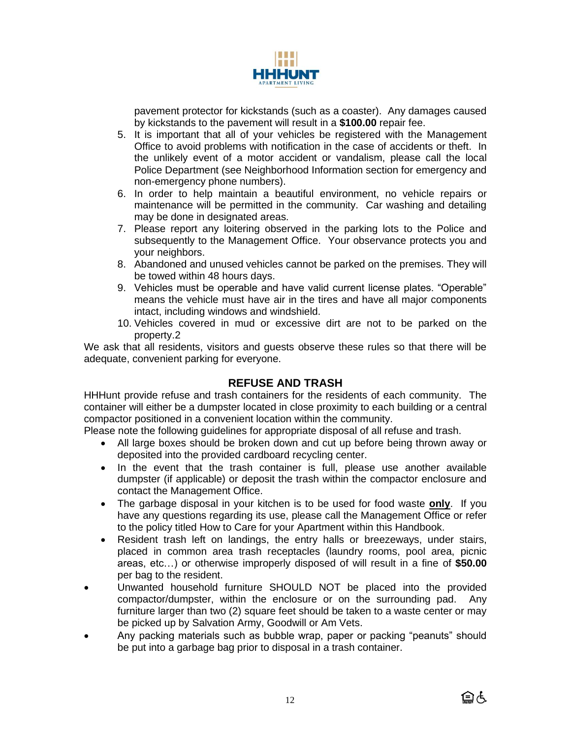

pavement protector for kickstands (such as a coaster). Any damages caused by kickstands to the pavement will result in a **\$100.00** repair fee.

- 5. It is important that all of your vehicles be registered with the Management Office to avoid problems with notification in the case of accidents or theft. In the unlikely event of a motor accident or vandalism, please call the local Police Department (see Neighborhood Information section for emergency and non-emergency phone numbers).
- 6. In order to help maintain a beautiful environment, no vehicle repairs or maintenance will be permitted in the community. Car washing and detailing may be done in designated areas.
- 7. Please report any loitering observed in the parking lots to the Police and subsequently to the Management Office. Your observance protects you and your neighbors.
- 8. Abandoned and unused vehicles cannot be parked on the premises. They will be towed within 48 hours days.
- 9. Vehicles must be operable and have valid current license plates. "Operable" means the vehicle must have air in the tires and have all major components intact, including windows and windshield.
- 10. Vehicles covered in mud or excessive dirt are not to be parked on the property.2

We ask that all residents, visitors and guests observe these rules so that there will be adequate, convenient parking for everyone.

# **REFUSE AND TRASH**

HHHunt provide refuse and trash containers for the residents of each community. The container will either be a dumpster located in close proximity to each building or a central compactor positioned in a convenient location within the community.

Please note the following guidelines for appropriate disposal of all refuse and trash.

- All large boxes should be broken down and cut up before being thrown away or deposited into the provided cardboard recycling center.
- In the event that the trash container is full, please use another available dumpster (if applicable) or deposit the trash within the compactor enclosure and contact the Management Office.
- The garbage disposal in your kitchen is to be used for food waste **only**. If you have any questions regarding its use, please call the Management Office or refer to the policy titled How to Care for your Apartment within this Handbook.
- Resident trash left on landings, the entry halls or breezeways, under stairs, placed in common area trash receptacles (laundry rooms, pool area, picnic areas, etc…) or otherwise improperly disposed of will result in a fine of **\$50.00** per bag to the resident.
- Unwanted household furniture SHOULD NOT be placed into the provided compactor/dumpster, within the enclosure or on the surrounding pad. Any furniture larger than two (2) square feet should be taken to a waste center or may be picked up by Salvation Army, Goodwill or Am Vets.
- Any packing materials such as bubble wrap, paper or packing "peanuts" should be put into a garbage bag prior to disposal in a trash container.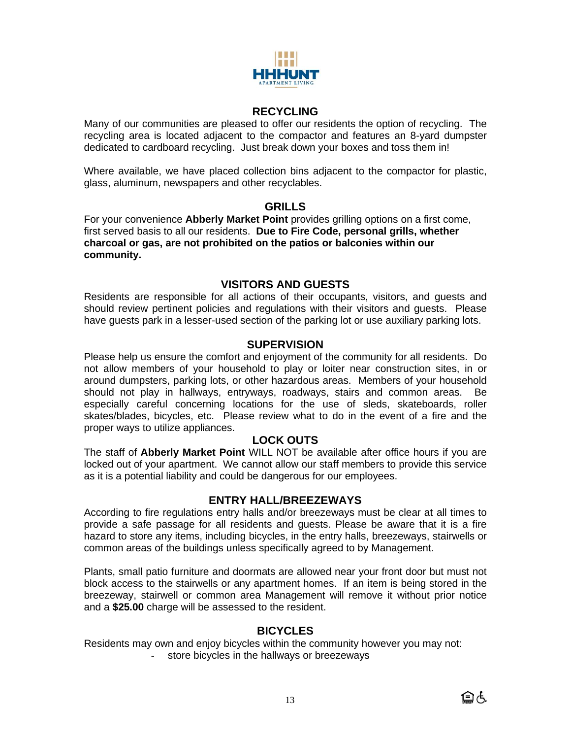

## **RECYCLING**

Many of our communities are pleased to offer our residents the option of recycling. The recycling area is located adjacent to the compactor and features an 8-yard dumpster dedicated to cardboard recycling. Just break down your boxes and toss them in!

Where available, we have placed collection bins adjacent to the compactor for plastic, glass, aluminum, newspapers and other recyclables.

### **GRILLS**

For your convenience **Abberly Market Point** provides grilling options on a first come, first served basis to all our residents. **Due to Fire Code, personal grills, whether charcoal or gas, are not prohibited on the patios or balconies within our community.**

## **VISITORS AND GUESTS**

Residents are responsible for all actions of their occupants, visitors, and guests and should review pertinent policies and regulations with their visitors and guests. Please have guests park in a lesser-used section of the parking lot or use auxiliary parking lots.

## **SUPERVISION**

Please help us ensure the comfort and enjoyment of the community for all residents. Do not allow members of your household to play or loiter near construction sites, in or around dumpsters, parking lots, or other hazardous areas. Members of your household should not play in hallways, entryways, roadways, stairs and common areas. Be especially careful concerning locations for the use of sleds, skateboards, roller skates/blades, bicycles, etc. Please review what to do in the event of a fire and the proper ways to utilize appliances.

## **LOCK OUTS**

The staff of **Abberly Market Point** WILL NOT be available after office hours if you are locked out of your apartment. We cannot allow our staff members to provide this service as it is a potential liability and could be dangerous for our employees.

## **ENTRY HALL/BREEZEWAYS**

According to fire regulations entry halls and/or breezeways must be clear at all times to provide a safe passage for all residents and guests. Please be aware that it is a fire hazard to store any items, including bicycles, in the entry halls, breezeways, stairwells or common areas of the buildings unless specifically agreed to by Management.

Plants, small patio furniture and doormats are allowed near your front door but must not block access to the stairwells or any apartment homes. If an item is being stored in the breezeway, stairwell or common area Management will remove it without prior notice and a **\$25.00** charge will be assessed to the resident.

## **BICYCLES**

Residents may own and enjoy bicycles within the community however you may not: store bicycles in the hallways or breezeways

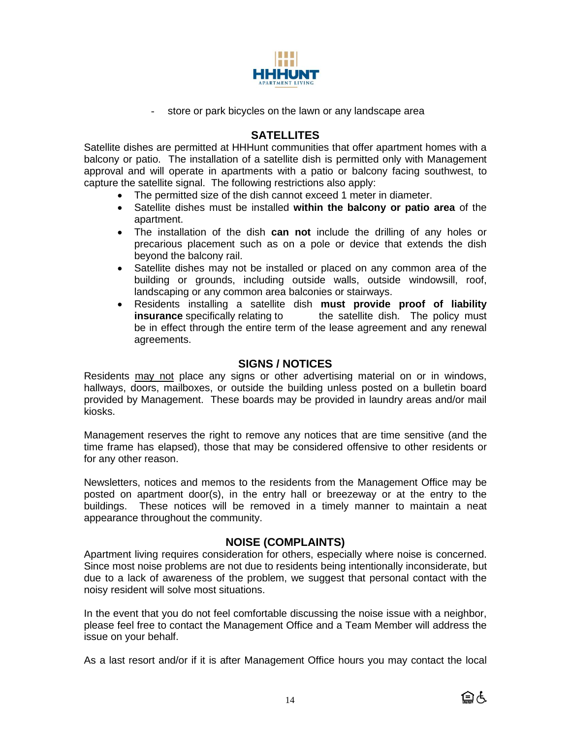

- store or park bicycles on the lawn or any landscape area

## **SATELLITES**

Satellite dishes are permitted at HHHunt communities that offer apartment homes with a balcony or patio. The installation of a satellite dish is permitted only with Management approval and will operate in apartments with a patio or balcony facing southwest, to capture the satellite signal. The following restrictions also apply:

- The permitted size of the dish cannot exceed 1 meter in diameter.
- Satellite dishes must be installed **within the balcony or patio area** of the apartment.
- The installation of the dish **can not** include the drilling of any holes or precarious placement such as on a pole or device that extends the dish beyond the balcony rail.
- Satellite dishes may not be installed or placed on any common area of the building or grounds, including outside walls, outside windowsill, roof, landscaping or any common area balconies or stairways.
- Residents installing a satellite dish **must provide proof of liability insurance** specifically relating to the satellite dish. The policy must be in effect through the entire term of the lease agreement and any renewal agreements.

# **SIGNS / NOTICES**

Residents may not place any signs or other advertising material on or in windows, hallways, doors, mailboxes, or outside the building unless posted on a bulletin board provided by Management. These boards may be provided in laundry areas and/or mail kiosks.

Management reserves the right to remove any notices that are time sensitive (and the time frame has elapsed), those that may be considered offensive to other residents or for any other reason.

Newsletters, notices and memos to the residents from the Management Office may be posted on apartment door(s), in the entry hall or breezeway or at the entry to the buildings. These notices will be removed in a timely manner to maintain a neat appearance throughout the community.

# **NOISE (COMPLAINTS)**

Apartment living requires consideration for others, especially where noise is concerned. Since most noise problems are not due to residents being intentionally inconsiderate, but due to a lack of awareness of the problem, we suggest that personal contact with the noisy resident will solve most situations.

In the event that you do not feel comfortable discussing the noise issue with a neighbor, please feel free to contact the Management Office and a Team Member will address the issue on your behalf.

As a last resort and/or if it is after Management Office hours you may contact the local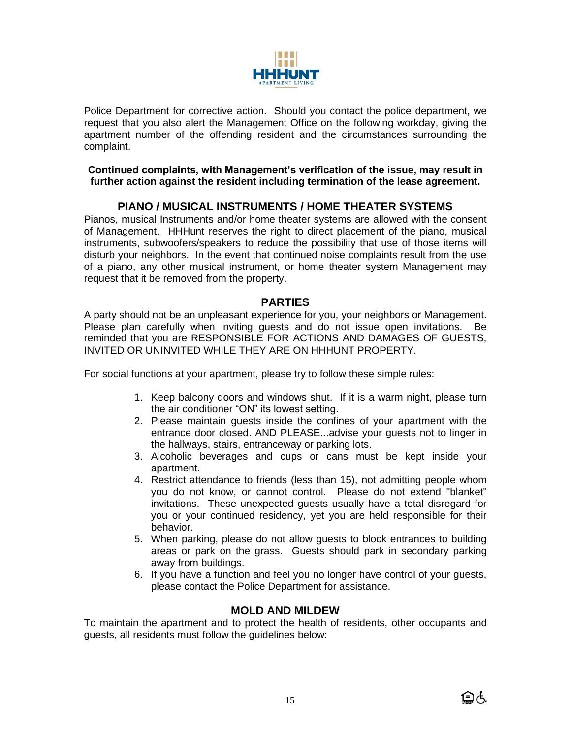

Police Department for corrective action. Should you contact the police department, we request that you also alert the Management Office on the following workday, giving the apartment number of the offending resident and the circumstances surrounding the complaint.

### **Continued complaints, with Management's verification of the issue, may result in further action against the resident including termination of the lease agreement.**

# **PIANO / MUSICAL INSTRUMENTS / HOME THEATER SYSTEMS**

Pianos, musical Instruments and/or home theater systems are allowed with the consent of Management. HHHunt reserves the right to direct placement of the piano, musical instruments, subwoofers/speakers to reduce the possibility that use of those items will disturb your neighbors. In the event that continued noise complaints result from the use of a piano, any other musical instrument, or home theater system Management may request that it be removed from the property.

## **PARTIES**

A party should not be an unpleasant experience for you, your neighbors or Management. Please plan carefully when inviting guests and do not issue open invitations. Be reminded that you are RESPONSIBLE FOR ACTIONS AND DAMAGES OF GUESTS, INVITED OR UNINVITED WHILE THEY ARE ON HHHUNT PROPERTY.

For social functions at your apartment, please try to follow these simple rules:

- 1. Keep balcony doors and windows shut. If it is a warm night, please turn the air conditioner "ON" its lowest setting.
- 2. Please maintain guests inside the confines of your apartment with the entrance door closed. AND PLEASE...advise your guests not to linger in the hallways, stairs, entranceway or parking lots.
- 3. Alcoholic beverages and cups or cans must be kept inside your apartment.
- 4. Restrict attendance to friends (less than 15), not admitting people whom you do not know, or cannot control. Please do not extend "blanket" invitations. These unexpected guests usually have a total disregard for you or your continued residency, yet you are held responsible for their behavior.
- 5. When parking, please do not allow guests to block entrances to building areas or park on the grass. Guests should park in secondary parking away from buildings.
- 6. If you have a function and feel you no longer have control of your guests, please contact the Police Department for assistance.

# **MOLD AND MILDEW**

To maintain the apartment and to protect the health of residents, other occupants and guests, all residents must follow the guidelines below: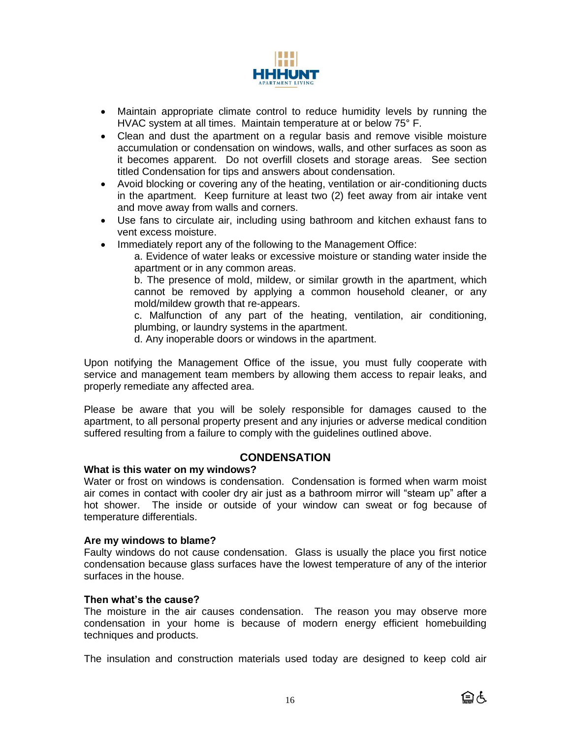

- Maintain appropriate climate control to reduce humidity levels by running the HVAC system at all times. Maintain temperature at or below 75° F.
- Clean and dust the apartment on a regular basis and remove visible moisture accumulation or condensation on windows, walls, and other surfaces as soon as it becomes apparent. Do not overfill closets and storage areas. See section titled Condensation for tips and answers about condensation.
- Avoid blocking or covering any of the heating, ventilation or air-conditioning ducts in the apartment. Keep furniture at least two (2) feet away from air intake vent and move away from walls and corners.
- Use fans to circulate air, including using bathroom and kitchen exhaust fans to vent excess moisture.
- Immediately report any of the following to the Management Office:

a. Evidence of water leaks or excessive moisture or standing water inside the apartment or in any common areas.

b. The presence of mold, mildew, or similar growth in the apartment, which cannot be removed by applying a common household cleaner, or any mold/mildew growth that re-appears.

c. Malfunction of any part of the heating, ventilation, air conditioning, plumbing, or laundry systems in the apartment.

d. Any inoperable doors or windows in the apartment.

Upon notifying the Management Office of the issue, you must fully cooperate with service and management team members by allowing them access to repair leaks, and properly remediate any affected area.

Please be aware that you will be solely responsible for damages caused to the apartment, to all personal property present and any injuries or adverse medical condition suffered resulting from a failure to comply with the guidelines outlined above.

## **CONDENSATION**

#### **What is this water on my windows?**

Water or frost on windows is condensation. Condensation is formed when warm moist air comes in contact with cooler dry air just as a bathroom mirror will "steam up" after a hot shower. The inside or outside of your window can sweat or fog because of temperature differentials.

#### **Are my windows to blame?**

Faulty windows do not cause condensation. Glass is usually the place you first notice condensation because glass surfaces have the lowest temperature of any of the interior surfaces in the house.

#### **Then what's the cause?**

The moisture in the air causes condensation. The reason you may observe more condensation in your home is because of modern energy efficient homebuilding techniques and products.

The insulation and construction materials used today are designed to keep cold air

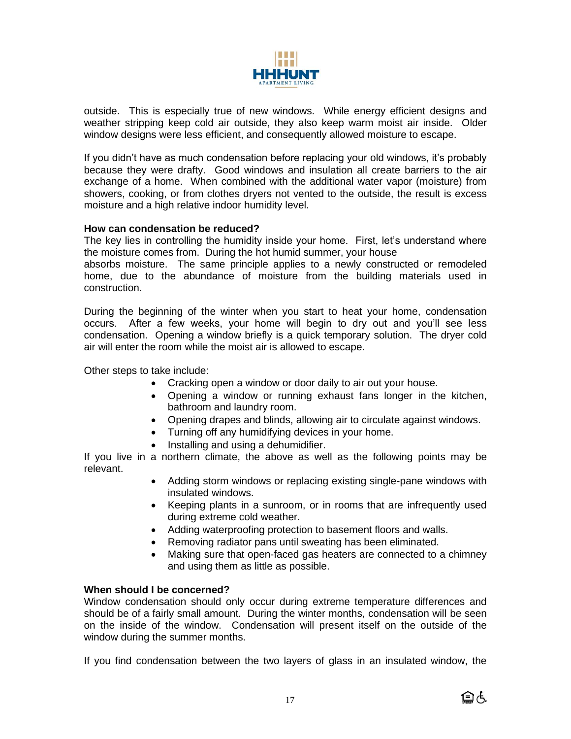

outside. This is especially true of new windows. While energy efficient designs and weather stripping keep cold air outside, they also keep warm moist air inside. Older window designs were less efficient, and consequently allowed moisture to escape.

If you didn't have as much condensation before replacing your old windows, it's probably because they were drafty. Good windows and insulation all create barriers to the air exchange of a home. When combined with the additional water vapor (moisture) from showers, cooking, or from clothes dryers not vented to the outside, the result is excess moisture and a high relative indoor humidity level.

### **How can condensation be reduced?**

The key lies in controlling the humidity inside your home. First, let's understand where the moisture comes from. During the hot humid summer, your house

absorbs moisture. The same principle applies to a newly constructed or remodeled home, due to the abundance of moisture from the building materials used in construction.

During the beginning of the winter when you start to heat your home, condensation occurs. After a few weeks, your home will begin to dry out and you'll see less condensation. Opening a window briefly is a quick temporary solution. The dryer cold air will enter the room while the moist air is allowed to escape.

Other steps to take include:

- Cracking open a window or door daily to air out your house.
- Opening a window or running exhaust fans longer in the kitchen, bathroom and laundry room.
- Opening drapes and blinds, allowing air to circulate against windows.
- Turning off any humidifying devices in your home.
- Installing and using a dehumidifier.

If you live in a northern climate, the above as well as the following points may be relevant.

- Adding storm windows or replacing existing single-pane windows with insulated windows.
- Keeping plants in a sunroom, or in rooms that are infrequently used during extreme cold weather.
- Adding waterproofing protection to basement floors and walls.
- Removing radiator pans until sweating has been eliminated.
- Making sure that open-faced gas heaters are connected to a chimney and using them as little as possible.

#### **When should I be concerned?**

Window condensation should only occur during extreme temperature differences and should be of a fairly small amount. During the winter months, condensation will be seen on the inside of the window. Condensation will present itself on the outside of the window during the summer months.

If you find condensation between the two layers of glass in an insulated window, the

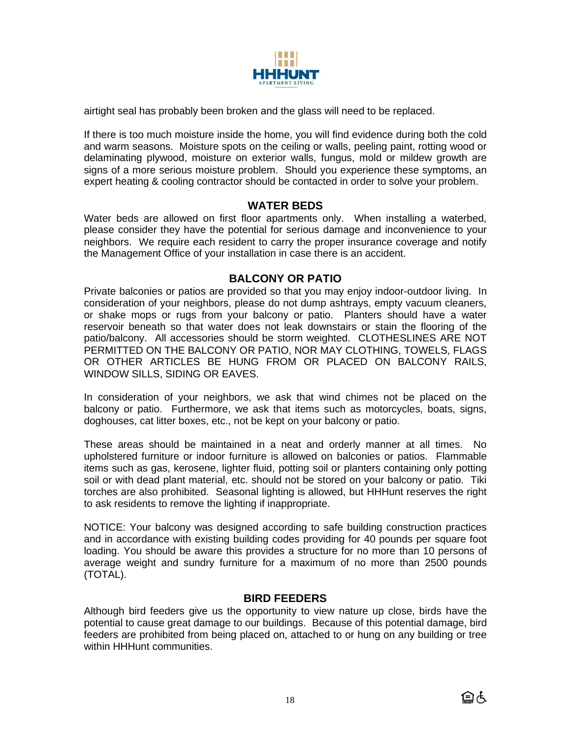

airtight seal has probably been broken and the glass will need to be replaced.

If there is too much moisture inside the home, you will find evidence during both the cold and warm seasons. Moisture spots on the ceiling or walls, peeling paint, rotting wood or delaminating plywood, moisture on exterior walls, fungus, mold or mildew growth are signs of a more serious moisture problem. Should you experience these symptoms, an expert heating & cooling contractor should be contacted in order to solve your problem.

## **WATER BEDS**

Water beds are allowed on first floor apartments only. When installing a waterbed, please consider they have the potential for serious damage and inconvenience to your neighbors. We require each resident to carry the proper insurance coverage and notify the Management Office of your installation in case there is an accident.

# **BALCONY OR PATIO**

Private balconies or patios are provided so that you may enjoy indoor-outdoor living. In consideration of your neighbors, please do not dump ashtrays, empty vacuum cleaners, or shake mops or rugs from your balcony or patio. Planters should have a water reservoir beneath so that water does not leak downstairs or stain the flooring of the patio/balcony. All accessories should be storm weighted. CLOTHESLINES ARE NOT PERMITTED ON THE BALCONY OR PATIO, NOR MAY CLOTHING, TOWELS, FLAGS OR OTHER ARTICLES BE HUNG FROM OR PLACED ON BALCONY RAILS, WINDOW SILLS, SIDING OR EAVES.

In consideration of your neighbors, we ask that wind chimes not be placed on the balcony or patio. Furthermore, we ask that items such as motorcycles, boats, signs, doghouses, cat litter boxes, etc., not be kept on your balcony or patio.

These areas should be maintained in a neat and orderly manner at all times. No upholstered furniture or indoor furniture is allowed on balconies or patios. Flammable items such as gas, kerosene, lighter fluid, potting soil or planters containing only potting soil or with dead plant material, etc. should not be stored on your balcony or patio. Tiki torches are also prohibited. Seasonal lighting is allowed, but HHHunt reserves the right to ask residents to remove the lighting if inappropriate.

NOTICE: Your balcony was designed according to safe building construction practices and in accordance with existing building codes providing for 40 pounds per square foot loading. You should be aware this provides a structure for no more than 10 persons of average weight and sundry furniture for a maximum of no more than 2500 pounds (TOTAL).

## **BIRD FEEDERS**

Although bird feeders give us the opportunity to view nature up close, birds have the potential to cause great damage to our buildings. Because of this potential damage, bird feeders are prohibited from being placed on, attached to or hung on any building or tree within HHHunt communities.

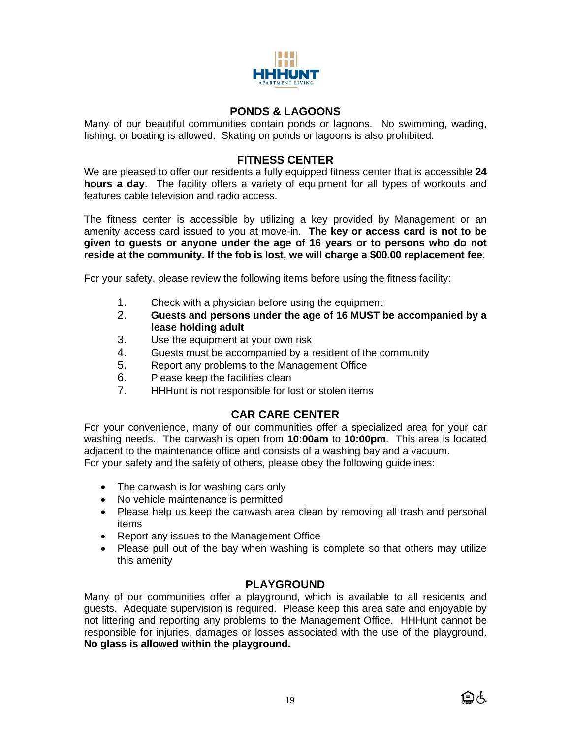

# **PONDS & LAGOONS**

Many of our beautiful communities contain ponds or lagoons. No swimming, wading, fishing, or boating is allowed. Skating on ponds or lagoons is also prohibited.

# **FITNESS CENTER**

We are pleased to offer our residents a fully equipped fitness center that is accessible **24 hours a day**. The facility offers a variety of equipment for all types of workouts and features cable television and radio access.

The fitness center is accessible by utilizing a key provided by Management or an amenity access card issued to you at move-in. **The key or access card is not to be given to guests or anyone under the age of 16 years or to persons who do not reside at the community. If the fob is lost, we will charge a \$00.00 replacement fee.**

For your safety, please review the following items before using the fitness facility:

- 1. Check with a physician before using the equipment
- 2. **Guests and persons under the age of 16 MUST be accompanied by a lease holding adult**
- 3. Use the equipment at your own risk
- 4. Guests must be accompanied by a resident of the community
- 5. Report any problems to the Management Office
- 6. Please keep the facilities clean
- 7. HHHunt is not responsible for lost or stolen items

# **CAR CARE CENTER**

For your convenience, many of our communities offer a specialized area for your car washing needs. The carwash is open from **10:00am** to **10:00pm**. This area is located adjacent to the maintenance office and consists of a washing bay and a vacuum. For your safety and the safety of others, please obey the following guidelines:

- The carwash is for washing cars only
- No vehicle maintenance is permitted
- Please help us keep the carwash area clean by removing all trash and personal items
- Report any issues to the Management Office
- Please pull out of the bay when washing is complete so that others may utilize this amenity

# **PLAYGROUND**

Many of our communities offer a playground, which is available to all residents and guests. Adequate supervision is required. Please keep this area safe and enjoyable by not littering and reporting any problems to the Management Office. HHHunt cannot be responsible for injuries, damages or losses associated with the use of the playground. **No glass is allowed within the playground.**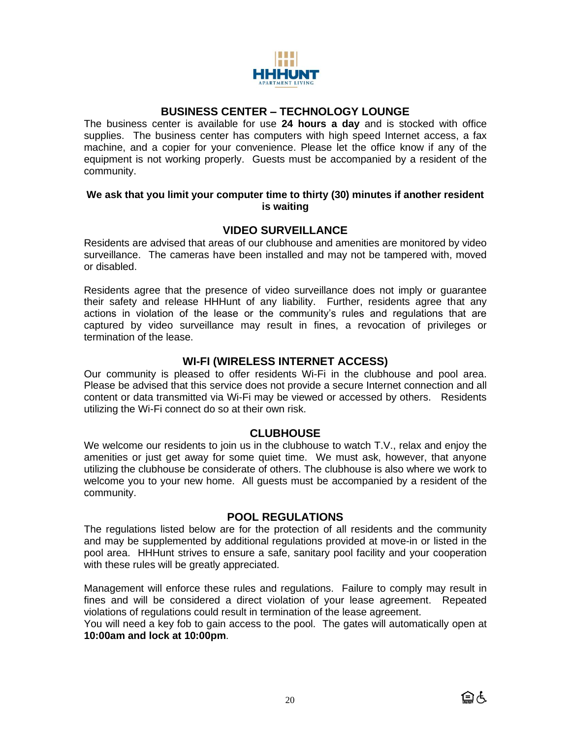

## **BUSINESS CENTER – TECHNOLOGY LOUNGE**

The business center is available for use **24 hours a day** and is stocked with office supplies. The business center has computers with high speed Internet access, a fax machine, and a copier for your convenience. Please let the office know if any of the equipment is not working properly. Guests must be accompanied by a resident of the community.

### **We ask that you limit your computer time to thirty (30) minutes if another resident is waiting**

# **VIDEO SURVEILLANCE**

Residents are advised that areas of our clubhouse and amenities are monitored by video surveillance. The cameras have been installed and may not be tampered with, moved or disabled.

Residents agree that the presence of video surveillance does not imply or guarantee their safety and release HHHunt of any liability. Further, residents agree that any actions in violation of the lease or the community's rules and regulations that are captured by video surveillance may result in fines, a revocation of privileges or termination of the lease.

## **WI-FI (WIRELESS INTERNET ACCESS)**

Our community is pleased to offer residents Wi-Fi in the clubhouse and pool area. Please be advised that this service does not provide a secure Internet connection and all content or data transmitted via Wi-Fi may be viewed or accessed by others. Residents utilizing the Wi-Fi connect do so at their own risk.

## **CLUBHOUSE**

We welcome our residents to join us in the clubhouse to watch T.V., relax and enjoy the amenities or just get away for some quiet time. We must ask, however, that anyone utilizing the clubhouse be considerate of others. The clubhouse is also where we work to welcome you to your new home. All guests must be accompanied by a resident of the community.

## **POOL REGULATIONS**

The regulations listed below are for the protection of all residents and the community and may be supplemented by additional regulations provided at move-in or listed in the pool area. HHHunt strives to ensure a safe, sanitary pool facility and your cooperation with these rules will be greatly appreciated.

Management will enforce these rules and regulations. Failure to comply may result in fines and will be considered a direct violation of your lease agreement. Repeated violations of regulations could result in termination of the lease agreement.

You will need a key fob to gain access to the pool. The gates will automatically open at **10:00am and lock at 10:00pm**.

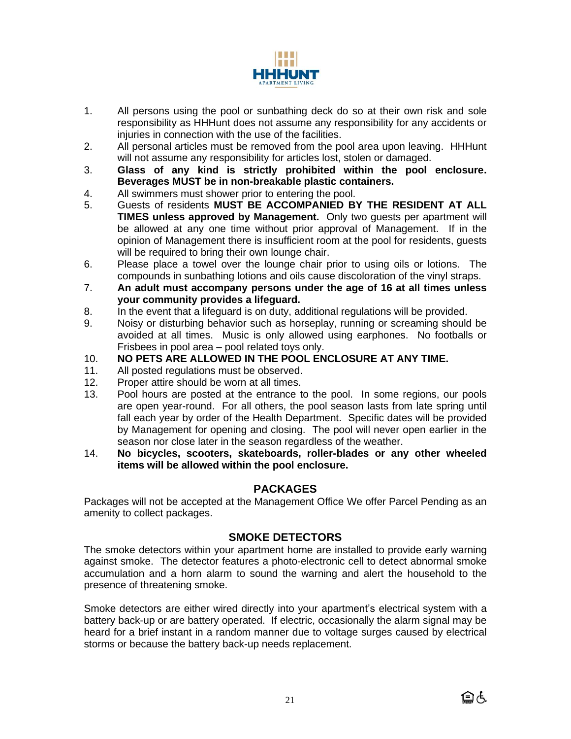

- 1. All persons using the pool or sunbathing deck do so at their own risk and sole responsibility as HHHunt does not assume any responsibility for any accidents or injuries in connection with the use of the facilities.
- 2. All personal articles must be removed from the pool area upon leaving. HHHunt will not assume any responsibility for articles lost, stolen or damaged.
- 3. **Glass of any kind is strictly prohibited within the pool enclosure. Beverages MUST be in non-breakable plastic containers.**
- 4. All swimmers must shower prior to entering the pool.
- 5. Guests of residents **MUST BE ACCOMPANIED BY THE RESIDENT AT ALL TIMES unless approved by Management.** Only two guests per apartment will be allowed at any one time without prior approval of Management. If in the opinion of Management there is insufficient room at the pool for residents, guests will be required to bring their own lounge chair.
- 6. Please place a towel over the lounge chair prior to using oils or lotions. The compounds in sunbathing lotions and oils cause discoloration of the vinyl straps.
- 7. **An adult must accompany persons under the age of 16 at all times unless your community provides a lifeguard.**
- 8. In the event that a lifeguard is on duty, additional regulations will be provided.
- 9. Noisy or disturbing behavior such as horseplay, running or screaming should be avoided at all times. Music is only allowed using earphones. No footballs or Frisbees in pool area – pool related toys only.
- 10. **NO PETS ARE ALLOWED IN THE POOL ENCLOSURE AT ANY TIME.**
- 11. All posted regulations must be observed.
- 12. Proper attire should be worn at all times.
- 13. Pool hours are posted at the entrance to the pool. In some regions, our pools are open year-round. For all others, the pool season lasts from late spring until fall each year by order of the Health Department. Specific dates will be provided by Management for opening and closing. The pool will never open earlier in the season nor close later in the season regardless of the weather.
- 14. **No bicycles, scooters, skateboards, roller-blades or any other wheeled items will be allowed within the pool enclosure.**

# **PACKAGES**

Packages will not be accepted at the Management Office We offer Parcel Pending as an amenity to collect packages.

# **SMOKE DETECTORS**

The smoke detectors within your apartment home are installed to provide early warning against smoke. The detector features a photo-electronic cell to detect abnormal smoke accumulation and a horn alarm to sound the warning and alert the household to the presence of threatening smoke.

Smoke detectors are either wired directly into your apartment's electrical system with a battery back-up or are battery operated. If electric, occasionally the alarm signal may be heard for a brief instant in a random manner due to voltage surges caused by electrical storms or because the battery back-up needs replacement.

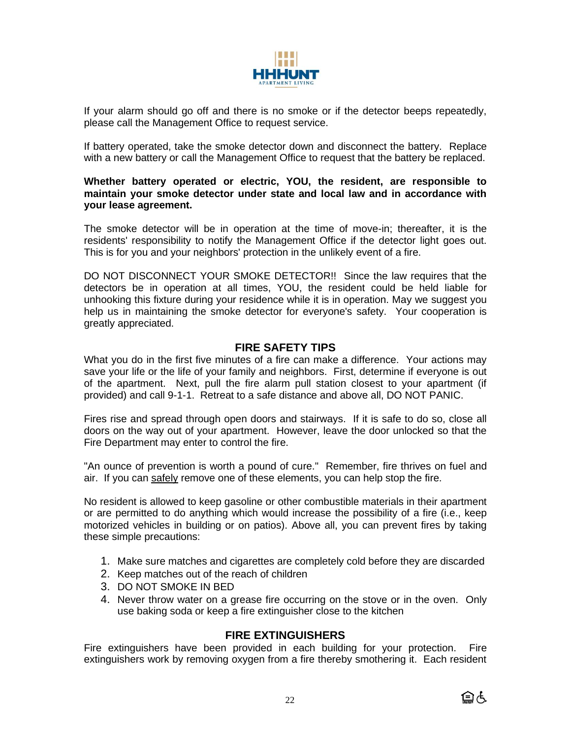

If your alarm should go off and there is no smoke or if the detector beeps repeatedly, please call the Management Office to request service.

If battery operated, take the smoke detector down and disconnect the battery. Replace with a new battery or call the Management Office to request that the battery be replaced.

#### **Whether battery operated or electric, YOU, the resident, are responsible to maintain your smoke detector under state and local law and in accordance with your lease agreement.**

The smoke detector will be in operation at the time of move-in; thereafter, it is the residents' responsibility to notify the Management Office if the detector light goes out. This is for you and your neighbors' protection in the unlikely event of a fire.

DO NOT DISCONNECT YOUR SMOKE DETECTOR!! Since the law requires that the detectors be in operation at all times, YOU, the resident could be held liable for unhooking this fixture during your residence while it is in operation. May we suggest you help us in maintaining the smoke detector for everyone's safety. Your cooperation is greatly appreciated.

## **FIRE SAFETY TIPS**

What you do in the first five minutes of a fire can make a difference. Your actions may save your life or the life of your family and neighbors. First, determine if everyone is out of the apartment. Next, pull the fire alarm pull station closest to your apartment (if provided) and call 9-1-1. Retreat to a safe distance and above all, DO NOT PANIC.

Fires rise and spread through open doors and stairways. If it is safe to do so, close all doors on the way out of your apartment. However, leave the door unlocked so that the Fire Department may enter to control the fire.

"An ounce of prevention is worth a pound of cure." Remember, fire thrives on fuel and air. If you can safely remove one of these elements, you can help stop the fire.

No resident is allowed to keep gasoline or other combustible materials in their apartment or are permitted to do anything which would increase the possibility of a fire (i.e., keep motorized vehicles in building or on patios). Above all, you can prevent fires by taking these simple precautions:

- 1. Make sure matches and cigarettes are completely cold before they are discarded
- 2. Keep matches out of the reach of children
- 3. DO NOT SMOKE IN BED
- 4. Never throw water on a grease fire occurring on the stove or in the oven. Only use baking soda or keep a fire extinguisher close to the kitchen

## **FIRE EXTINGUISHERS**

Fire extinguishers have been provided in each building for your protection. Fire extinguishers work by removing oxygen from a fire thereby smothering it. Each resident

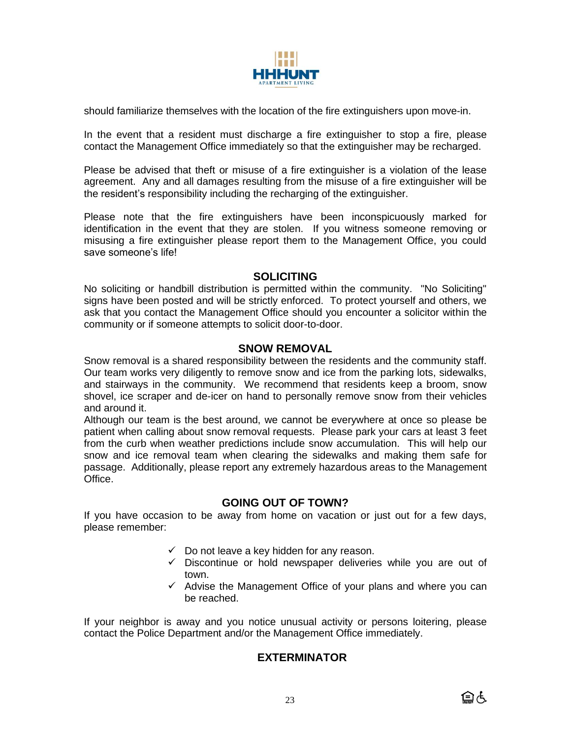

should familiarize themselves with the location of the fire extinguishers upon move-in.

In the event that a resident must discharge a fire extinguisher to stop a fire, please contact the Management Office immediately so that the extinguisher may be recharged.

Please be advised that theft or misuse of a fire extinguisher is a violation of the lease agreement. Any and all damages resulting from the misuse of a fire extinguisher will be the resident's responsibility including the recharging of the extinguisher.

Please note that the fire extinguishers have been inconspicuously marked for identification in the event that they are stolen. If you witness someone removing or misusing a fire extinguisher please report them to the Management Office, you could save someone's life!

## **SOLICITING**

No soliciting or handbill distribution is permitted within the community. "No Soliciting" signs have been posted and will be strictly enforced. To protect yourself and others, we ask that you contact the Management Office should you encounter a solicitor within the community or if someone attempts to solicit door-to-door.

## **SNOW REMOVAL**

Snow removal is a shared responsibility between the residents and the community staff. Our team works very diligently to remove snow and ice from the parking lots, sidewalks, and stairways in the community. We recommend that residents keep a broom, snow shovel, ice scraper and de-icer on hand to personally remove snow from their vehicles and around it.

Although our team is the best around, we cannot be everywhere at once so please be patient when calling about snow removal requests. Please park your cars at least 3 feet from the curb when weather predictions include snow accumulation. This will help our snow and ice removal team when clearing the sidewalks and making them safe for passage. Additionally, please report any extremely hazardous areas to the Management Office.

# **GOING OUT OF TOWN?**

If you have occasion to be away from home on vacation or just out for a few days, please remember:

- $\checkmark$  Do not leave a key hidden for any reason.
- $\checkmark$  Discontinue or hold newspaper deliveries while you are out of town.
- ✓ Advise the Management Office of your plans and where you can be reached.

If your neighbor is away and you notice unusual activity or persons loitering, please contact the Police Department and/or the Management Office immediately.

# **EXTERMINATOR**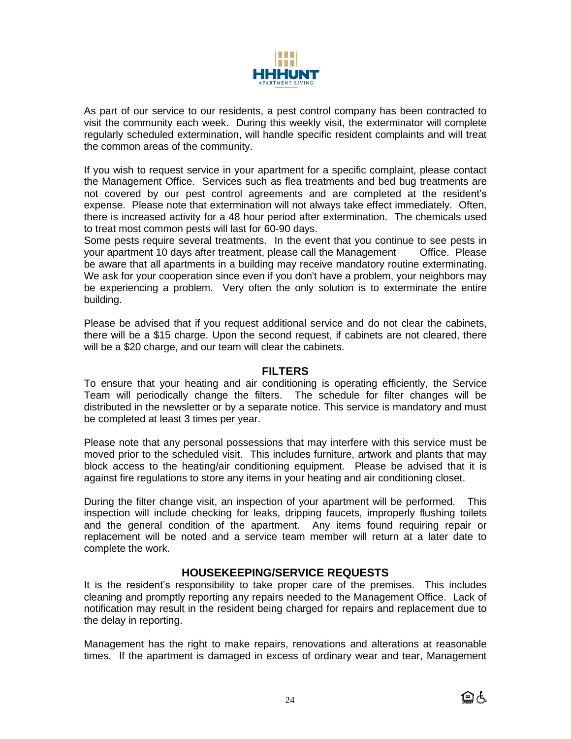

As part of our service to our residents, a pest control company has been contracted to visit the community each week. During this weekly visit, the exterminator will complete regularly scheduled extermination, will handle specific resident complaints and will treat the common areas of the community.

If you wish to request service in your apartment for a specific complaint, please contact the Management Office. Services such as flea treatments and bed bug treatments are not covered by our pest control agreements and are completed at the resident's expense. Please note that extermination will not always take effect immediately. Often, there is increased activity for a 48 hour period after extermination. The chemicals used to treat most common pests will last for 60-90 days.

Some pests require several treatments. In the event that you continue to see pests in your apartment 10 days after treatment, please call the Management Office. Please be aware that all apartments in a building may receive mandatory routine exterminating. We ask for your cooperation since even if you don't have a problem, your neighbors may be experiencing a problem. Very often the only solution is to exterminate the entire building.

Please be advised that if you request additional service and do not clear the cabinets, there will be a \$15 charge. Upon the second request, if cabinets are not cleared, there will be a \$20 charge, and our team will clear the cabinets.

## **FILTERS**

To ensure that your heating and air conditioning is operating efficiently, the Service Team will periodically change the filters. The schedule for filter changes will be distributed in the newsletter or by a separate notice. This service is mandatory and must be completed at least 3 times per year.

Please note that any personal possessions that may interfere with this service must be moved prior to the scheduled visit. This includes furniture, artwork and plants that may block access to the heating/air conditioning equipment. Please be advised that it is against fire regulations to store any items in your heating and air conditioning closet.

During the filter change visit, an inspection of your apartment will be performed. This inspection will include checking for leaks, dripping faucets, improperly flushing toilets and the general condition of the apartment. Any items found requiring repair or replacement will be noted and a service team member will return at a later date to complete the work.

# **HOUSEKEEPING/SERVICE REQUESTS**

It is the resident's responsibility to take proper care of the premises. This includes cleaning and promptly reporting any repairs needed to the Management Office. Lack of notification may result in the resident being charged for repairs and replacement due to the delay in reporting.

Management has the right to make repairs, renovations and alterations at reasonable times. If the apartment is damaged in excess of ordinary wear and tear, Management

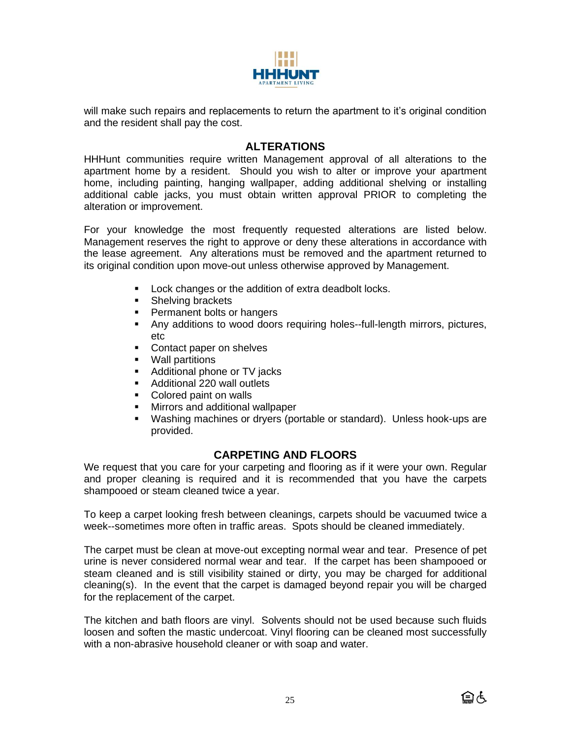

will make such repairs and replacements to return the apartment to it's original condition and the resident shall pay the cost.

## **ALTERATIONS**

HHHunt communities require written Management approval of all alterations to the apartment home by a resident. Should you wish to alter or improve your apartment home, including painting, hanging wallpaper, adding additional shelving or installing additional cable jacks, you must obtain written approval PRIOR to completing the alteration or improvement.

For your knowledge the most frequently requested alterations are listed below. Management reserves the right to approve or deny these alterations in accordance with the lease agreement. Any alterations must be removed and the apartment returned to its original condition upon move-out unless otherwise approved by Management.

- Lock changes or the addition of extra deadbolt locks.
- Shelving brackets
- **•** Permanent bolts or hangers
- **.** Any additions to wood doors requiring holes--full-length mirrors, pictures, etc
- Contact paper on shelves<br>■ Wall partitions
- Wall partitions
- Additional phone or TV jacks
- Additional 220 wall outlets
- Colored paint on walls
- Mirrors and additional wallpaper
- Washing machines or dryers (portable or standard). Unless hook-ups are provided.

# **CARPETING AND FLOORS**

We request that you care for your carpeting and flooring as if it were your own. Regular and proper cleaning is required and it is recommended that you have the carpets shampooed or steam cleaned twice a year.

To keep a carpet looking fresh between cleanings, carpets should be vacuumed twice a week--sometimes more often in traffic areas. Spots should be cleaned immediately.

The carpet must be clean at move-out excepting normal wear and tear. Presence of pet urine is never considered normal wear and tear. If the carpet has been shampooed or steam cleaned and is still visibility stained or dirty, you may be charged for additional cleaning(s). In the event that the carpet is damaged beyond repair you will be charged for the replacement of the carpet.

The kitchen and bath floors are vinyl. Solvents should not be used because such fluids loosen and soften the mastic undercoat. Vinyl flooring can be cleaned most successfully with a non-abrasive household cleaner or with soap and water.

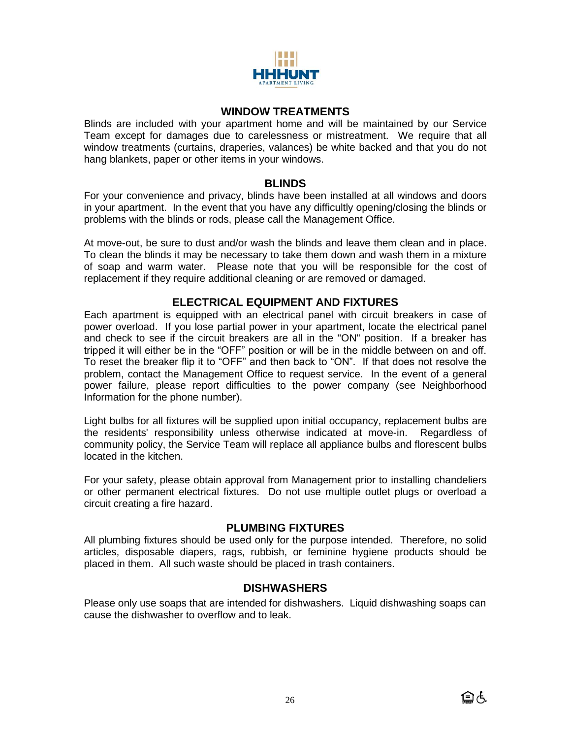

### **WINDOW TREATMENTS**

Blinds are included with your apartment home and will be maintained by our Service Team except for damages due to carelessness or mistreatment. We require that all window treatments (curtains, draperies, valances) be white backed and that you do not hang blankets, paper or other items in your windows.

### **BLINDS**

For your convenience and privacy, blinds have been installed at all windows and doors in your apartment. In the event that you have any difficultly opening/closing the blinds or problems with the blinds or rods, please call the Management Office.

At move-out, be sure to dust and/or wash the blinds and leave them clean and in place. To clean the blinds it may be necessary to take them down and wash them in a mixture of soap and warm water. Please note that you will be responsible for the cost of replacement if they require additional cleaning or are removed or damaged.

# **ELECTRICAL EQUIPMENT AND FIXTURES**

Each apartment is equipped with an electrical panel with circuit breakers in case of power overload. If you lose partial power in your apartment, locate the electrical panel and check to see if the circuit breakers are all in the "ON" position. If a breaker has tripped it will either be in the "OFF" position or will be in the middle between on and off. To reset the breaker flip it to "OFF" and then back to "ON". If that does not resolve the problem, contact the Management Office to request service. In the event of a general power failure, please report difficulties to the power company (see Neighborhood Information for the phone number).

Light bulbs for all fixtures will be supplied upon initial occupancy, replacement bulbs are the residents' responsibility unless otherwise indicated at move-in. Regardless of community policy, the Service Team will replace all appliance bulbs and florescent bulbs located in the kitchen.

For your safety, please obtain approval from Management prior to installing chandeliers or other permanent electrical fixtures. Do not use multiple outlet plugs or overload a circuit creating a fire hazard.

## **PLUMBING FIXTURES**

All plumbing fixtures should be used only for the purpose intended. Therefore, no solid articles, disposable diapers, rags, rubbish, or feminine hygiene products should be placed in them. All such waste should be placed in trash containers.

## **DISHWASHERS**

Please only use soaps that are intended for dishwashers. Liquid dishwashing soaps can cause the dishwasher to overflow and to leak.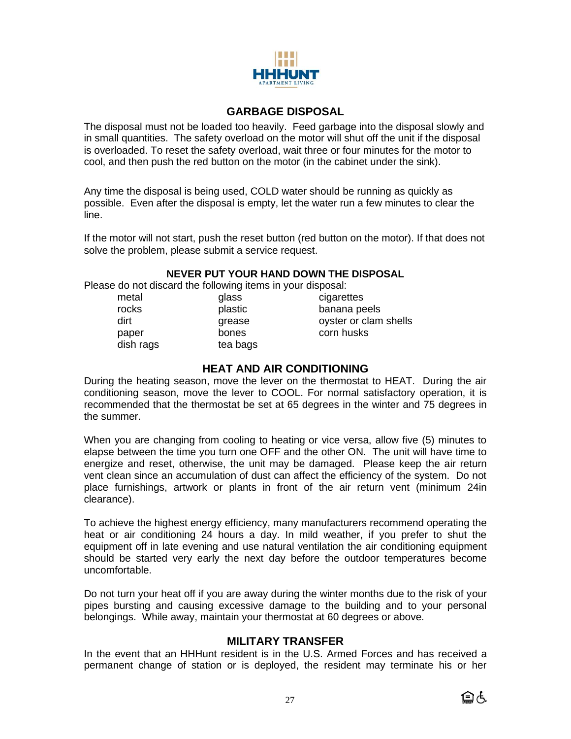

## **GARBAGE DISPOSAL**

The disposal must not be loaded too heavily. Feed garbage into the disposal slowly and in small quantities. The safety overload on the motor will shut off the unit if the disposal is overloaded. To reset the safety overload, wait three or four minutes for the motor to cool, and then push the red button on the motor (in the cabinet under the sink).

Any time the disposal is being used, COLD water should be running as quickly as possible. Even after the disposal is empty, let the water run a few minutes to clear the line.

If the motor will not start, push the reset button (red button on the motor). If that does not solve the problem, please submit a service request.

### **NEVER PUT YOUR HAND DOWN THE DISPOSAL**

Please do not discard the following items in your disposal:

tea bags

| metal     |  |
|-----------|--|
| rocks     |  |
| dirt      |  |
| paper     |  |
| dish rags |  |
|           |  |

glass cigarettes plastic banana peels grease oyster or clam shells bones corn husks

## **HEAT AND AIR CONDITIONING**

During the heating season, move the lever on the thermostat to HEAT. During the air conditioning season, move the lever to COOL. For normal satisfactory operation, it is recommended that the thermostat be set at 65 degrees in the winter and 75 degrees in the summer.

When you are changing from cooling to heating or vice versa, allow five (5) minutes to elapse between the time you turn one OFF and the other ON. The unit will have time to energize and reset, otherwise, the unit may be damaged. Please keep the air return vent clean since an accumulation of dust can affect the efficiency of the system. Do not place furnishings, artwork or plants in front of the air return vent (minimum 24in clearance).

To achieve the highest energy efficiency, many manufacturers recommend operating the heat or air conditioning 24 hours a day. In mild weather, if you prefer to shut the equipment off in late evening and use natural ventilation the air conditioning equipment should be started very early the next day before the outdoor temperatures become uncomfortable.

Do not turn your heat off if you are away during the winter months due to the risk of your pipes bursting and causing excessive damage to the building and to your personal belongings. While away, maintain your thermostat at 60 degrees or above.

## **MILITARY TRANSFER**

In the event that an HHHunt resident is in the U.S. Armed Forces and has received a permanent change of station or is deployed, the resident may terminate his or her

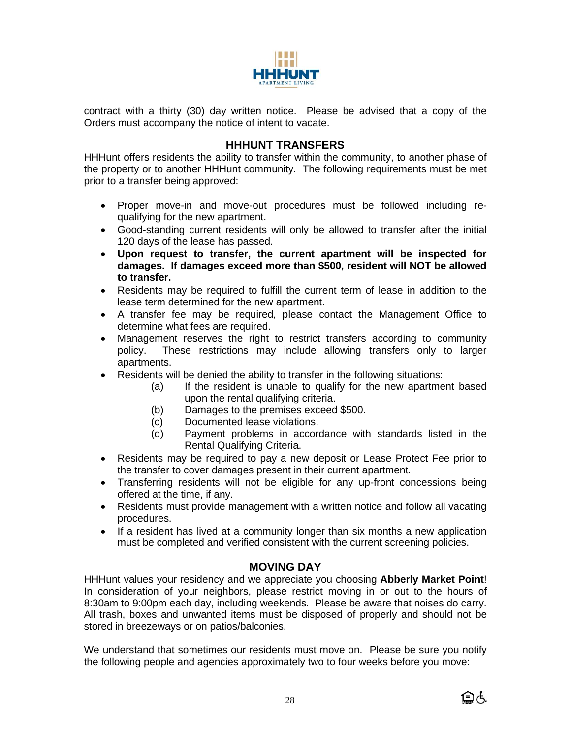

contract with a thirty (30) day written notice. Please be advised that a copy of the Orders must accompany the notice of intent to vacate.

## **HHHUNT TRANSFERS**

HHHunt offers residents the ability to transfer within the community, to another phase of the property or to another HHHunt community. The following requirements must be met prior to a transfer being approved:

- Proper move-in and move-out procedures must be followed including requalifying for the new apartment.
- Good-standing current residents will only be allowed to transfer after the initial 120 days of the lease has passed.
- **Upon request to transfer, the current apartment will be inspected for damages. If damages exceed more than \$500, resident will NOT be allowed to transfer.**
- Residents may be required to fulfill the current term of lease in addition to the lease term determined for the new apartment.
- A transfer fee may be required, please contact the Management Office to determine what fees are required.
- Management reserves the right to restrict transfers according to community policy. These restrictions may include allowing transfers only to larger apartments.
- Residents will be denied the ability to transfer in the following situations:
	- (a) If the resident is unable to qualify for the new apartment based upon the rental qualifying criteria.
	- (b) Damages to the premises exceed \$500.
	- (c) Documented lease violations.
	- (d) Payment problems in accordance with standards listed in the Rental Qualifying Criteria.
- Residents may be required to pay a new deposit or Lease Protect Fee prior to the transfer to cover damages present in their current apartment.
- Transferring residents will not be eligible for any up-front concessions being offered at the time, if any.
- Residents must provide management with a written notice and follow all vacating procedures.
- If a resident has lived at a community longer than six months a new application must be completed and verified consistent with the current screening policies.

## **MOVING DAY**

HHHunt values your residency and we appreciate you choosing **Abberly Market Point**! In consideration of your neighbors, please restrict moving in or out to the hours of 8:30am to 9:00pm each day, including weekends. Please be aware that noises do carry. All trash, boxes and unwanted items must be disposed of properly and should not be stored in breezeways or on patios/balconies.

We understand that sometimes our residents must move on. Please be sure you notify the following people and agencies approximately two to four weeks before you move:

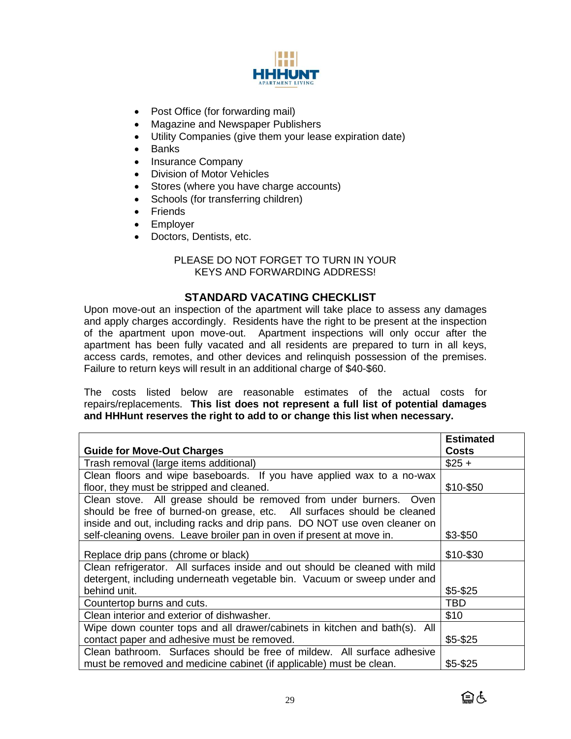

- Post Office (for forwarding mail)
- Magazine and Newspaper Publishers
- Utility Companies (give them your lease expiration date)
- Banks
- Insurance Company
- Division of Motor Vehicles
- Stores (where you have charge accounts)
- Schools (for transferring children)
- Friends
- Employer
- Doctors, Dentists, etc.

## PLEASE DO NOT FORGET TO TURN IN YOUR KEYS AND FORWARDING ADDRESS!

## **STANDARD VACATING CHECKLIST**

Upon move-out an inspection of the apartment will take place to assess any damages and apply charges accordingly. Residents have the right to be present at the inspection of the apartment upon move-out. Apartment inspections will only occur after the apartment has been fully vacated and all residents are prepared to turn in all keys, access cards, remotes, and other devices and relinquish possession of the premises. Failure to return keys will result in an additional charge of \$40-\$60.

The costs listed below are reasonable estimates of the actual costs for repairs/replacements. **This list does not represent a full list of potential damages and HHHunt reserves the right to add to or change this list when necessary.**

|                                                                             | <b>Estimated</b> |
|-----------------------------------------------------------------------------|------------------|
| <b>Guide for Move-Out Charges</b>                                           | <b>Costs</b>     |
| Trash removal (large items additional)                                      | $$25 +$          |
| Clean floors and wipe baseboards. If you have applied wax to a no-wax       |                  |
| floor, they must be stripped and cleaned.                                   | \$10-\$50        |
| Clean stove. All grease should be removed from under burners. Oven          |                  |
| should be free of burned-on grease, etc. All surfaces should be cleaned     |                  |
| inside and out, including racks and drip pans. DO NOT use oven cleaner on   |                  |
| self-cleaning ovens. Leave broiler pan in oven if present at move in.       | \$3-\$50         |
|                                                                             |                  |
| Replace drip pans (chrome or black)                                         | \$10-\$30        |
| Clean refrigerator. All surfaces inside and out should be cleaned with mild |                  |
| detergent, including underneath vegetable bin. Vacuum or sweep under and    |                  |
| behind unit.                                                                | $$5 - $25$       |
| Countertop burns and cuts.                                                  | TBD              |
| Clean interior and exterior of dishwasher.                                  | \$10             |
| Wipe down counter tops and all drawer/cabinets in kitchen and bath(s). All  |                  |
| contact paper and adhesive must be removed.                                 | $$5 - $25$       |
| Clean bathroom. Surfaces should be free of mildew. All surface adhesive     |                  |
| must be removed and medicine cabinet (if applicable) must be clean.         | \$5-\$25         |